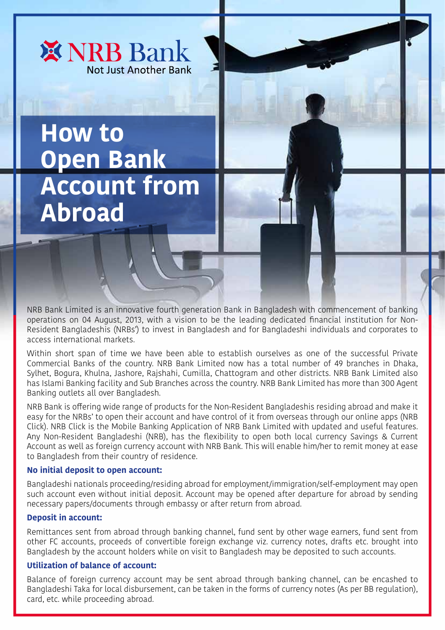

# **How to Open Bank Account from Abroad**

NRB Bank Limited is an innovative fourth generation Bank in Bangladesh with commencement of banking operations on 04 August, 2013, with a vision to be the leading dedicated financial institution for Non-Resident Bangladeshis (NRBs') to invest in Bangladesh and for Bangladeshi individuals and corporates to access international markets.

Within short span of time we have been able to establish ourselves as one of the successful Private Commercial Banks of the country. NRB Bank Limited now has a total number of 49 branches in Dhaka, Sylhet, Bogura, Khulna, Jashore, Rajshahi, Cumilla, Chattogram and other districts. NRB Bank Limited also has Islami Banking facility and Sub Branches across the country. NRB Bank Limited has more than 300 Agent Banking outlets all over Bangladesh.

NRB Bank is offering wide range of products for the Non-Resident Bangladeshis residing abroad and make it easy for the NRBs' to open their account and have control of it from overseas through our online apps (NRB Click). NRB Click is the Mobile Banking Application of NRB Bank Limited with updated and useful features. Any Non-Resident Bangladeshi (NRB), has the flexibility to open both local currency Savings & Current Account as well as foreign currency account with NRB Bank. This will enable him/her to remit money at ease to Bangladesh from their country of residence.

### **No initial deposit to open account:**

Bangladeshi nationals proceeding/residing abroad for employment/immigration/self-employment may open such account even without initial deposit. Account may be opened after departure for abroad by sending necessary papers/documents through embassy or after return from abroad.

### **Deposit in account:**

Remittances sent from abroad through banking channel, fund sent by other wage earners, fund sent from other FC accounts, proceeds of convertible foreign exchange viz. currency notes, drafts etc. brought into Bangladesh by the account holders while on visit to Bangladesh may be deposited to such accounts.

# **Utilization of balance of account:**

Balance of foreign currency account may be sent abroad through banking channel, can be encashed to Bangladeshi Taka for local disbursement, can be taken in the forms of currency notes (As per BB regulation), card, etc. while proceeding abroad.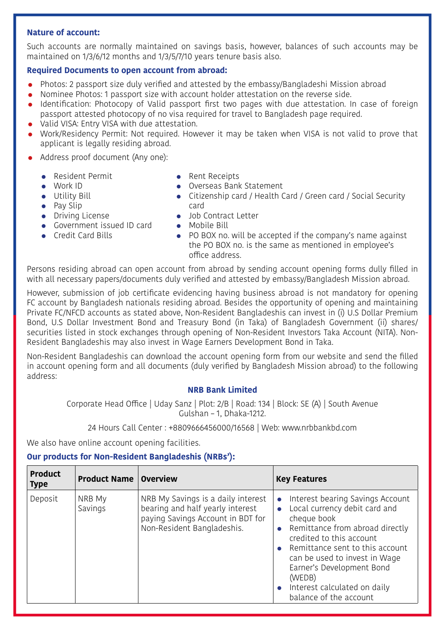## **Nature of account:**

Such accounts are normally maintained on savings basis, however, balances of such accounts may be maintained on 1/3/6/12 months and 1/3/5/7/10 years tenure basis also.

## **Required Documents to open account from abroad:**

- Photos: 2 passport size duly verified and attested by the embassy/Bangladeshi Mission abroad
- Nominee Photos: 1 passport size with account holder attestation on the reverse side.
- Identification: Photocopy of Valid passport first two pages with due attestation. In case of foreign passport attested photocopy of no visa required for travel to Bangladesh page required.
- Valid VISA: Entry VISA with due attestation.
- Work/Residency Permit: Not required. However it may be taken when VISA is not valid to prove that applicant is legally residing abroad.
- Address proof document (Any one):
	- Resident Permit

 Work ID **•** Utility Bill  $\bullet$  Pay Slip

- Rent Receipts
- Overseas Bank Statement
- Citizenship card / Health Card / Green card / Social Security card
- **•** Driving License
- **•** Government issued ID card
- **Credit Card Bills**
- Job Contract Letter **•** Mobile Bill
- PO BOX no. will be accepted if the company's name against the PO BOX no. is the same as mentioned in employee's office address.

Persons residing abroad can open account from abroad by sending account opening forms dully filled in with all necessary papers/documents duly verified and attested by embassy/Bangladesh Mission abroad.

However, submission of job certificate evidencing having business abroad is not mandatory for opening FC account by Bangladesh nationals residing abroad. Besides the opportunity of opening and maintaining Private FC/NFCD accounts as stated above, Non-Resident Bangladeshis can invest in (i) U.S Dollar Premium Bond, U.S Dollar Investment Bond and Treasury Bond (in Taka) of Bangladesh Government (ii) shares/ securities listed in stock exchanges through opening of Non-Resident Investors Taka Account (NITA). Non-Resident Bangladeshis may also invest in Wage Earners Development Bond in Taka.

Non-Resident Bangladeshis can download the account opening form from our website and send the filled in account opening form and all documents (duly verified by Bangladesh Mission abroad) to the following address:

# **NRB Bank Limited**

Corporate Head Office | Uday Sanz | Plot: 2/B | Road: 134 | Block: SE (A) | South Avenue Gulshan – 1, Dhaka-1212.

24 Hours Call Center : +8809666456000/16568 | Web: www.nrbbankbd.com

We also have online account opening facilities.

# **Our products for Non-Resident Bangladeshis (NRBs'):**

| <b>Product</b><br><b>Type</b> | <b>Product Name   Overview</b> |                                                                                                                                           | <b>Key Features</b>                                                                                                                                                                                                                                                                                                                                                      |
|-------------------------------|--------------------------------|-------------------------------------------------------------------------------------------------------------------------------------------|--------------------------------------------------------------------------------------------------------------------------------------------------------------------------------------------------------------------------------------------------------------------------------------------------------------------------------------------------------------------------|
| Deposit                       | NRB My<br>Savings              | NRB My Savings is a daily interest<br>bearing and half yearly interest<br>paying Savings Account in BDT for<br>Non-Resident Bangladeshis. | Interest bearing Savings Account<br>$\bullet$<br>Local currency debit card and<br>$\bullet$<br>cheque book<br>Remittance from abroad directly<br>$\bullet$<br>credited to this account<br>Remittance sent to this account<br>can be used to invest in Wage<br>Earner's Development Bond<br>(WEDB)<br>Interest calculated on daily<br>$\bullet$<br>balance of the account |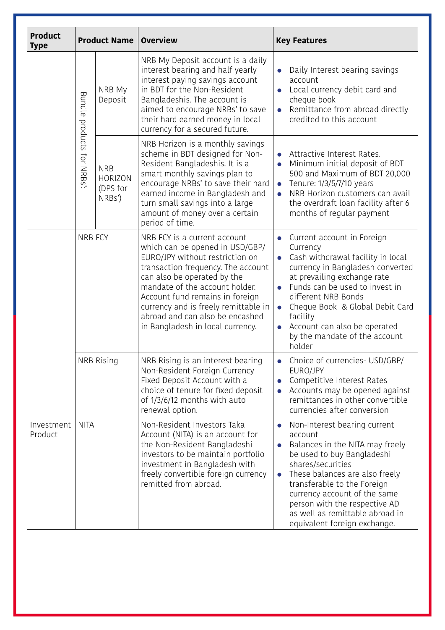| <b>Product</b><br><b>Type</b> | <b>Product Name</b>              |                                                    | <b>Overview</b>                                                                                                                                                                                                                                                                                                                                             | <b>Key Features</b>                                                                                                                                                                                                                                                                                                                                                       |
|-------------------------------|----------------------------------|----------------------------------------------------|-------------------------------------------------------------------------------------------------------------------------------------------------------------------------------------------------------------------------------------------------------------------------------------------------------------------------------------------------------------|---------------------------------------------------------------------------------------------------------------------------------------------------------------------------------------------------------------------------------------------------------------------------------------------------------------------------------------------------------------------------|
|                               | Bundle<br>products<br>for NRBs': | NRB My<br>Deposit                                  | NRB My Deposit account is a daily<br>interest bearing and half yearly<br>interest paying savings account<br>in BDT for the Non-Resident<br>Bangladeshis. The account is<br>aimed to encourage NRBs' to save<br>their hard earned money in local<br>currency for a secured future.                                                                           | Daily Interest bearing savings<br>$\bullet$<br>account<br>Local currency debit card and<br>$\bullet$<br>cheque book<br>Remittance from abroad directly<br>credited to this account                                                                                                                                                                                        |
|                               |                                  | <b>NRB</b><br><b>HORIZON</b><br>(DPS for<br>NRBs') | NRB Horizon is a monthly savings<br>scheme in BDT designed for Non-<br>Resident Bangladeshis. It is a<br>smart monthly savings plan to<br>encourage NRBs' to save their hard<br>earned income in Bangladesh and<br>turn small savings into a large<br>amount of money over a certain<br>period of time.                                                     | Attractive Interest Rates.<br>$\bullet$<br>Minimum initial deposit of BDT<br>500 and Maximum of BDT 20,000<br>Tenure: 1/3/5/7/10 years<br>$\bullet$<br>NRB Horizon customers can avail<br>$\bullet$<br>the overdraft loan facility after 6<br>months of regular payment                                                                                                   |
|                               | <b>NRB FCY</b>                   |                                                    | NRB FCY is a current account<br>which can be opened in USD/GBP/<br>EURO/JPY without restriction on<br>transaction frequency. The account<br>can also be operated by the<br>mandate of the account holder.<br>Account fund remains in foreign<br>currency and is freely remittable in<br>abroad and can also be encashed<br>in Bangladesh in local currency. | Current account in Foreign<br>Currency<br>Cash withdrawal facility in local<br>currency in Bangladesh converted<br>at prevailing exchange rate<br>Funds can be used to invest in<br>different NRB Bonds<br>Cheque Book & Global Debit Card<br>$\bullet$<br>facility<br>Account can also be operated<br>by the mandate of the account<br>holder                            |
|                               | NRB Rising                       |                                                    | NRB Rising is an interest bearing<br>Non-Resident Foreign Currency<br>Fixed Deposit Account with a<br>choice of tenure for fixed deposit<br>of 1/3/6/12 months with auto<br>renewal option.                                                                                                                                                                 | Choice of currencies- USD/GBP/<br>EURO/JPY<br>Competitive Interest Rates<br>Accounts may be opened against<br>remittances in other convertible<br>currencies after conversion                                                                                                                                                                                             |
| Investment<br>Product         | <b>NITA</b>                      |                                                    | Non-Resident Investors Taka<br>Account (NITA) is an account for<br>the Non-Resident Bangladeshi<br>investors to be maintain portfolio<br>investment in Bangladesh with<br>freely convertible foreign currency<br>remitted from abroad.                                                                                                                      | Non-Interest bearing current<br>$\bullet$<br>account<br>Balances in the NITA may freely<br>$\bullet$<br>be used to buy Bangladeshi<br>shares/securities<br>These balances are also freely<br>$\bullet$<br>transferable to the Foreign<br>currency account of the same<br>person with the respective AD<br>as well as remittable abroad in<br>equivalent foreign exchange. |